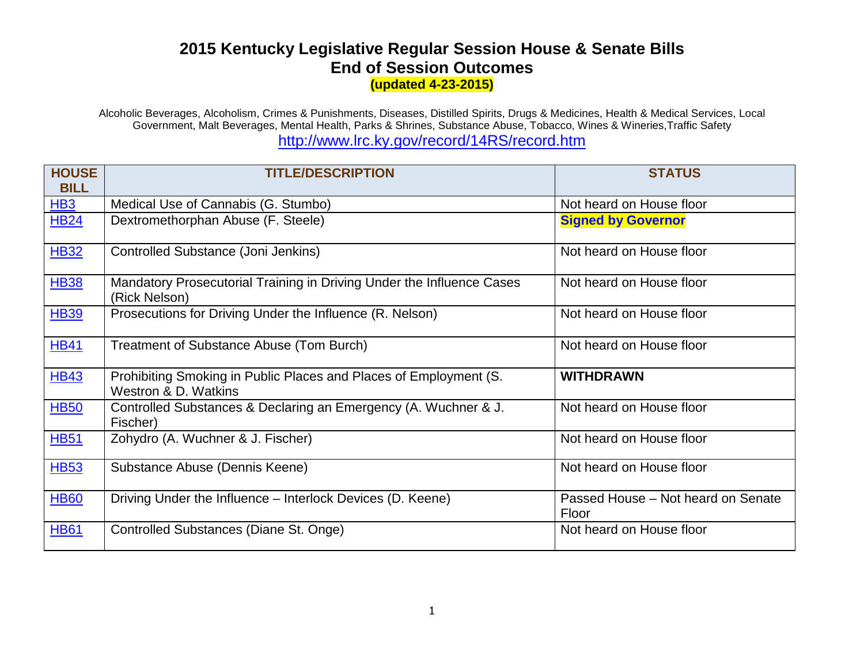## **2015 Kentucky Legislative Regular Session House & Senate Bills End of Session Outcomes (updated 4-23-2015)**

Alcoholic Beverages, Alcoholism, Crimes & Punishments, Diseases, Distilled Spirits, Drugs & Medicines, Health & Medical Services, Local Government, Malt Beverages, Mental Health, Parks & Shrines, Substance Abuse, Tobacco, Wines & Wineries,Traffic Safety http://www.lrc.ky.gov/record/14RS/record.htm

| <b>HOUSE</b><br><b>BILL</b> | <b>TITLE/DESCRIPTION</b>                                                                  | <b>STATUS</b>                               |
|-----------------------------|-------------------------------------------------------------------------------------------|---------------------------------------------|
| HB <sub>3</sub>             | Medical Use of Cannabis (G. Stumbo)                                                       | Not heard on House floor                    |
| <b>HB24</b>                 | Dextromethorphan Abuse (F. Steele)                                                        | <b>Signed by Governor</b>                   |
| <b>HB32</b>                 | Controlled Substance (Joni Jenkins)                                                       | Not heard on House floor                    |
| <b>HB38</b>                 | Mandatory Prosecutorial Training in Driving Under the Influence Cases<br>(Rick Nelson)    | Not heard on House floor                    |
| <b>HB39</b>                 | Prosecutions for Driving Under the Influence (R. Nelson)                                  | Not heard on House floor                    |
| <b>HB41</b>                 | Treatment of Substance Abuse (Tom Burch)                                                  | Not heard on House floor                    |
| <b>HB43</b>                 | Prohibiting Smoking in Public Places and Places of Employment (S.<br>Westron & D. Watkins | <b>WITHDRAWN</b>                            |
| <b>HB50</b>                 | Controlled Substances & Declaring an Emergency (A. Wuchner & J.<br>Fischer)               | Not heard on House floor                    |
| <b>HB51</b>                 | Zohydro (A. Wuchner & J. Fischer)                                                         | Not heard on House floor                    |
| <b>HB53</b>                 | Substance Abuse (Dennis Keene)                                                            | Not heard on House floor                    |
| <b>HB60</b>                 | Driving Under the Influence – Interlock Devices (D. Keene)                                | Passed House - Not heard on Senate<br>Floor |
| <b>HB61</b>                 | Controlled Substances (Diane St. Onge)                                                    | Not heard on House floor                    |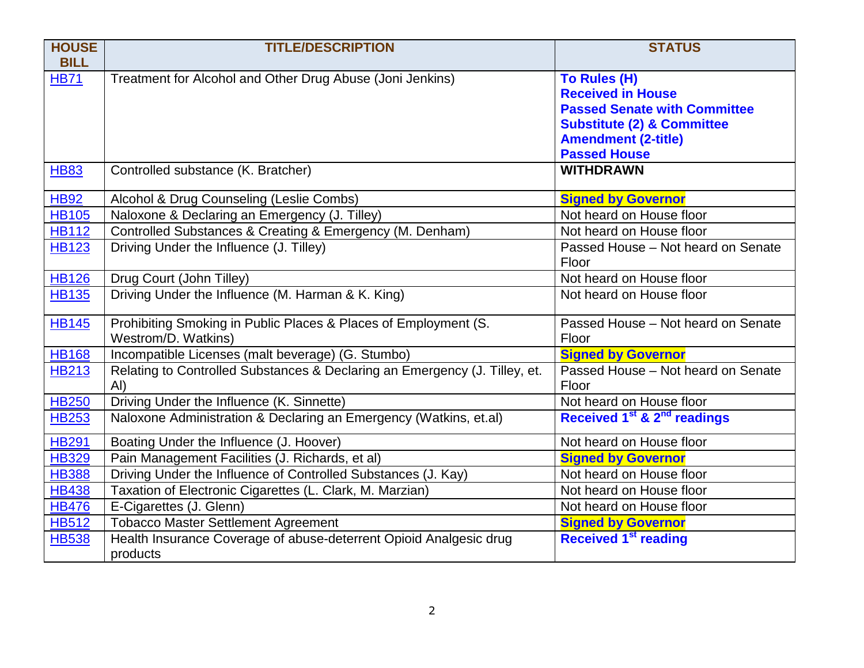| <b>HOUSE</b> | <b>TITLE/DESCRIPTION</b>                                                   | <b>STATUS</b>                                       |
|--------------|----------------------------------------------------------------------------|-----------------------------------------------------|
| <b>BILL</b>  |                                                                            |                                                     |
| <b>HB71</b>  | Treatment for Alcohol and Other Drug Abuse (Joni Jenkins)                  | To Rules (H)                                        |
|              |                                                                            | <b>Received in House</b>                            |
|              |                                                                            | <b>Passed Senate with Committee</b>                 |
|              |                                                                            | <b>Substitute (2) &amp; Committee</b>               |
|              |                                                                            | <b>Amendment (2-title)</b>                          |
|              |                                                                            | <b>Passed House</b>                                 |
| <b>HB83</b>  | Controlled substance (K. Bratcher)                                         | <b>WITHDRAWN</b>                                    |
| H B92        | Alcohol & Drug Counseling (Leslie Combs)                                   | <b>Signed by Governor</b>                           |
| <b>HB105</b> | Naloxone & Declaring an Emergency (J. Tilley)                              | Not heard on House floor                            |
| <b>HB112</b> | Controlled Substances & Creating & Emergency (M. Denham)                   | Not heard on House floor                            |
| <b>HB123</b> | Driving Under the Influence (J. Tilley)                                    | Passed House - Not heard on Senate                  |
|              |                                                                            | Floor                                               |
| <b>HB126</b> | Drug Court (John Tilley)                                                   | Not heard on House floor                            |
| <b>HB135</b> | Driving Under the Influence (M. Harman & K. King)                          | Not heard on House floor                            |
| <b>HB145</b> | Prohibiting Smoking in Public Places & Places of Employment (S.            | Passed House - Not heard on Senate                  |
|              | Westrom/D. Watkins)                                                        | Floor                                               |
| <b>HB168</b> | Incompatible Licenses (malt beverage) (G. Stumbo)                          | <b>Signed by Governor</b>                           |
| <b>HB213</b> | Relating to Controlled Substances & Declaring an Emergency (J. Tilley, et. | Passed House - Not heard on Senate                  |
|              | AI)                                                                        | Floor                                               |
| <b>HB250</b> | Driving Under the Influence (K. Sinnette)                                  | Not heard on House floor                            |
| <b>HB253</b> | Naloxone Administration & Declaring an Emergency (Watkins, et.al)          | Received 1 <sup>st</sup> & 2 <sup>nd</sup> readings |
| <b>HB291</b> | Boating Under the Influence (J. Hoover)                                    | Not heard on House floor                            |
| <b>HB329</b> | Pain Management Facilities (J. Richards, et al)                            | <b>Signed by Governor</b>                           |
| <b>HB388</b> | Driving Under the Influence of Controlled Substances (J. Kay)              | Not heard on House floor                            |
| <b>HB438</b> | Taxation of Electronic Cigarettes (L. Clark, M. Marzian)                   | Not heard on House floor                            |
| <b>HB476</b> | E-Cigarettes (J. Glenn)                                                    | Not heard on House floor                            |
| <b>HB512</b> | <b>Tobacco Master Settlement Agreement</b>                                 | <b>Signed by Governor</b>                           |
| <b>HB538</b> | Health Insurance Coverage of abuse-deterrent Opioid Analgesic drug         | <b>Received 1st reading</b>                         |
|              | products                                                                   |                                                     |